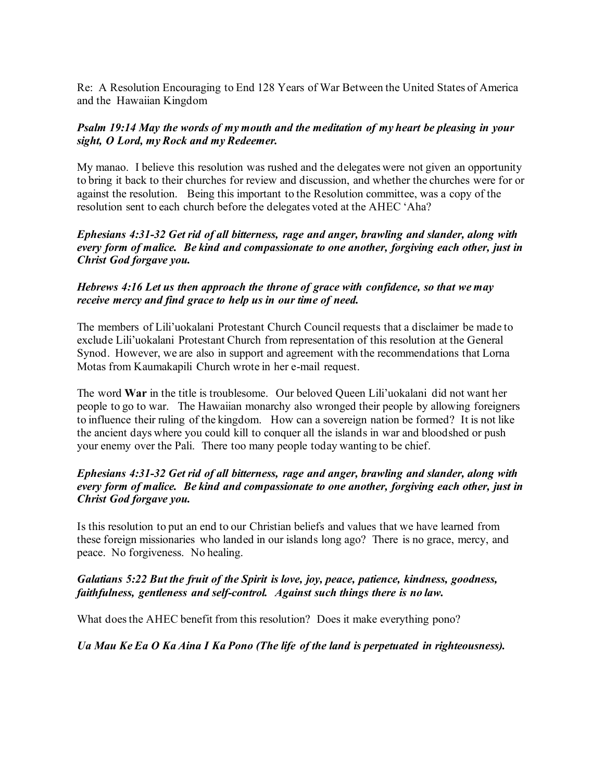Re: A Resolution Encouraging to End 128 Years of War Between the United States of America and the Hawaiian Kingdom

## *Psalm 19:14 May the words of my mouth and the meditation of my heart be pleasing in your sight, O Lord, my Rock and my Redeemer.*

My manao. I believe this resolution was rushed and the delegates were not given an opportunity to bring it back to their churches for review and discussion, and whether the churches were for or against the resolution. Being this important to the Resolution committee, was a copy of the resolution sent to each church before the delegates voted at the AHEC 'Aha?

*Ephesians 4:31-32 Get rid of all bitterness, rage and anger, brawling and slander, along with every form of malice. Be kind and compassionate to one another, forgiving each other, just in Christ God forgave you.*

#### *Hebrews 4:16 Let us then approach the throne of grace with confidence, so that we may receive mercy and find grace to help us in our time of need.*

The members of Lili'uokalani Protestant Church Council requests that a disclaimer be made to exclude Lili'uokalani Protestant Church from representation of this resolution at the General Synod. However, we are also in support and agreement with the recommendations that Lorna Motas from Kaumakapili Church wrote in her e-mail request.

The word **War** in the title is troublesome. Our beloved Queen Lili'uokalani did not want her people to go to war. The Hawaiian monarchy also wronged their people by allowing foreigners to influence their ruling of the kingdom. How can a sovereign nation be formed? It is not like the ancient days where you could kill to conquer all the islands in war and bloodshed or push your enemy over the Pali. There too many people today wanting to be chief.

#### *Ephesians 4:31-32 Get rid of all bitterness, rage and anger, brawling and slander, along with every form of malice. Be kind and compassionate to one another, forgiving each other, just in Christ God forgave you.*

Is this resolution to put an end to our Christian beliefs and values that we have learned from these foreign missionaries who landed in our islands long ago? There is no grace, mercy, and peace. No forgiveness. No healing.

# *Galatians 5:22 But the fruit of the Spirit is love, joy, peace, patience, kindness, goodness, faithfulness, gentleness and self-control. Against such things there is no law.*

What does the AHEC benefit from this resolution? Does it make everything pono?

*Ua Mau Ke Ea O Ka Aina I Ka Pono (The life of the land is perpetuated in righteousness).*